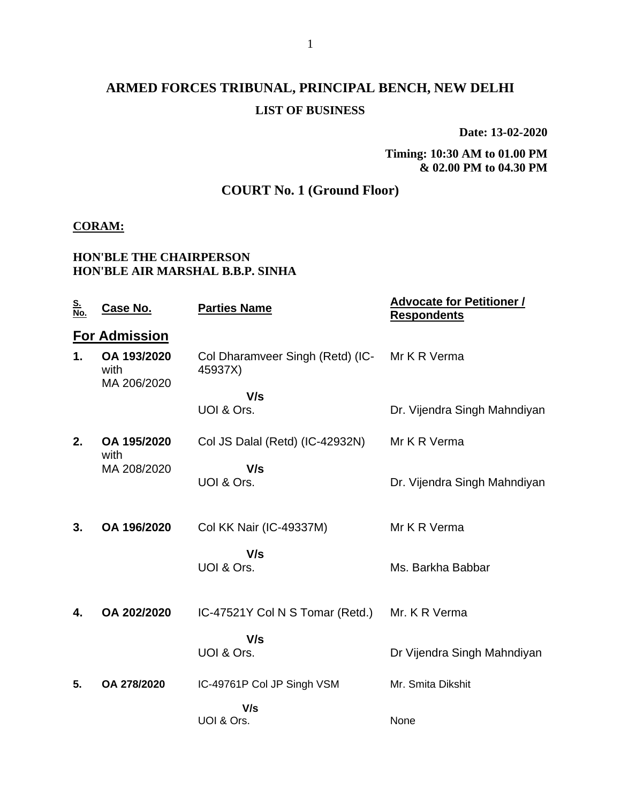# **ARMED FORCES TRIBUNAL, PRINCIPAL BENCH, NEW DELHI LIST OF BUSINESS**

**Date: 13-02-2020**

**Timing: 10:30 AM to 01.00 PM & 02.00 PM to 04.30 PM**

# **COURT No. 1 (Ground Floor)**

#### **CORAM:**

### **HON'BLE THE CHAIRPERSON HON'BLE AIR MARSHAL B.B.P. SINHA**

| <u>S.</u><br><u>No.</u> | Case No.                           | <b>Parties Name</b>                         | <b>Advocate for Petitioner /</b><br><b>Respondents</b> |
|-------------------------|------------------------------------|---------------------------------------------|--------------------------------------------------------|
|                         | <b>For Admission</b>               |                                             |                                                        |
| 1.                      | OA 193/2020<br>with<br>MA 206/2020 | Col Dharamveer Singh (Retd) (IC-<br>45937X) | Mr K R Verma                                           |
|                         |                                    | V/s                                         |                                                        |
|                         |                                    | UOI & Ors.                                  | Dr. Vijendra Singh Mahndiyan                           |
| 2.                      | OA 195/2020<br>with                | Col JS Dalal (Retd) (IC-42932N)             | Mr K R Verma                                           |
|                         | MA 208/2020                        | V/s<br>UOI & Ors.                           | Dr. Vijendra Singh Mahndiyan                           |
| 3.                      | OA 196/2020                        | Col KK Nair (IC-49337M)                     | Mr K R Verma                                           |
|                         |                                    | V/s<br>UOI & Ors.                           | Ms. Barkha Babbar                                      |
| 4.                      | OA 202/2020                        | IC-47521Y Col N S Tomar (Retd.)             | Mr. K R Verma                                          |
|                         |                                    | V/s<br>UOI & Ors.                           | Dr Vijendra Singh Mahndiyan                            |
| 5.                      | OA 278/2020                        | IC-49761P Col JP Singh VSM                  | Mr. Smita Dikshit                                      |
|                         |                                    | V/s                                         |                                                        |
|                         |                                    | UOI & Ors.                                  | None                                                   |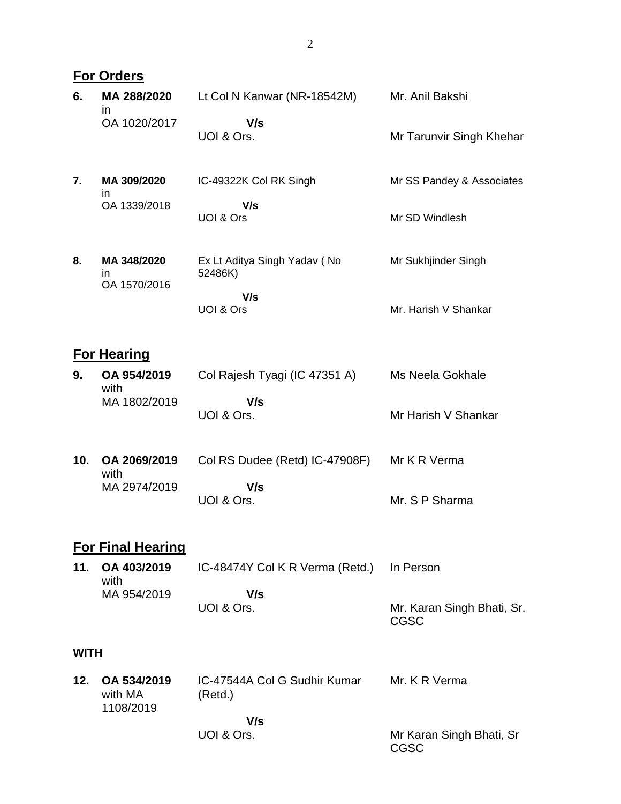| <b>For Orders</b> |
|-------------------|
|                   |

| 6.          | MA 288/2020<br><i>in</i>            | Lt Col N Kanwar (NR-18542M)             | Mr. Anil Bakshi                           |
|-------------|-------------------------------------|-----------------------------------------|-------------------------------------------|
|             | OA 1020/2017                        | V/s<br>UOI & Ors.                       | Mr Tarunvir Singh Khehar                  |
| 7.          | MA 309/2020<br>in.                  | IC-49322K Col RK Singh                  | Mr SS Pandey & Associates                 |
|             | OA 1339/2018                        | V/s<br>UOI & Ors                        | Mr SD Windlesh                            |
| 8.          | MA 348/2020<br>in.<br>OA 1570/2016  | Ex Lt Aditya Singh Yadav (No<br>52486K) | Mr Sukhjinder Singh                       |
|             |                                     | V/s<br>UOI & Ors                        | Mr. Harish V Shankar                      |
|             | <b>For Hearing</b>                  |                                         |                                           |
| 9.          | OA 954/2019<br>with                 | Col Rajesh Tyagi (IC 47351 A)           | Ms Neela Gokhale                          |
|             | MA 1802/2019                        | V/s<br>UOI & Ors.                       | Mr Harish V Shankar                       |
| 10.         | OA 2069/2019<br>with                | Col RS Dudee (Retd) IC-47908F)          | Mr K R Verma                              |
|             | MA 2974/2019                        | V/s<br>UOI & Ors.                       | Mr. S P Sharma                            |
|             | <b>For Final Hearing</b>            |                                         |                                           |
| 11.         | OA 403/2019<br>with                 | IC-48474Y Col K R Verma (Retd.)         | In Person                                 |
|             | MA 954/2019                         | V/s<br>UOI & Ors.                       | Mr. Karan Singh Bhati, Sr.<br><b>CGSC</b> |
| <b>WITH</b> |                                     |                                         |                                           |
| 12.         | OA 534/2019<br>with MA<br>1108/2019 | IC-47544A Col G Sudhir Kumar<br>(Retd.) | Mr. K R Verma                             |
|             |                                     | V/s<br>UOI & Ors.                       | Mr Karan Singh Bhati, Sr<br><b>CGSC</b>   |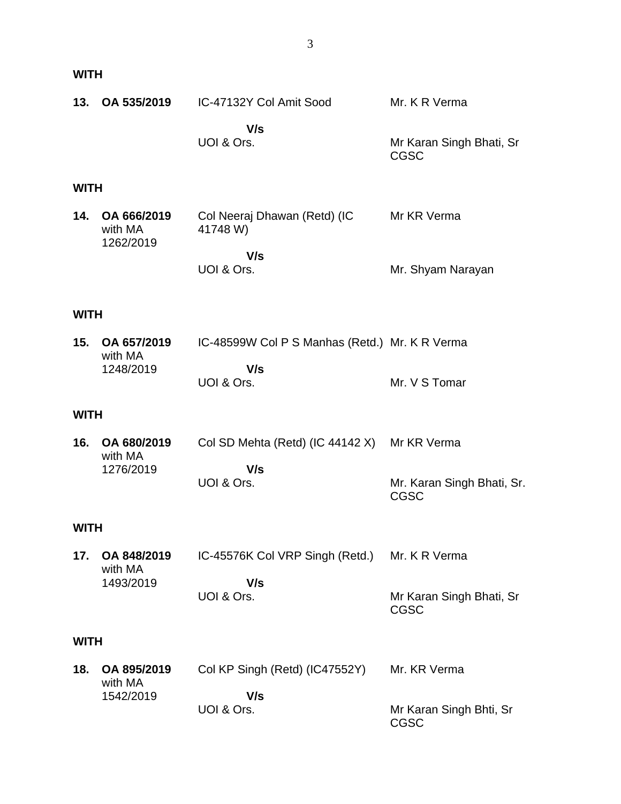| <b>WITH</b> |                                |                                                |                                           |  |  |
|-------------|--------------------------------|------------------------------------------------|-------------------------------------------|--|--|
| 13.         | OA 535/2019                    | IC-47132Y Col Amit Sood                        | Mr. K R Verma                             |  |  |
|             |                                | V/s<br>UOI & Ors.                              | Mr Karan Singh Bhati, Sr<br><b>CGSC</b>   |  |  |
| <b>WITH</b> |                                |                                                |                                           |  |  |
| 14.         | OA 666/2019<br>with MA         | Col Neeraj Dhawan (Retd) (IC<br>41748 W)       | Mr KR Verma                               |  |  |
|             | 1262/2019<br>V/s<br>UOI & Ors. |                                                | Mr. Shyam Narayan                         |  |  |
| <b>WITH</b> |                                |                                                |                                           |  |  |
| 15.         | OA 657/2019<br>with MA         | IC-48599W Col P S Manhas (Retd.) Mr. K R Verma |                                           |  |  |
|             | 1248/2019                      | V/s<br>UOI & Ors.                              | Mr. V S Tomar                             |  |  |
| <b>WITH</b> |                                |                                                |                                           |  |  |
| 16.         | OA 680/2019<br>with MA         | Col SD Mehta (Retd) (IC 44142 X)               | Mr KR Verma                               |  |  |
|             | 1276/2019                      | V/s<br>UOI & Ors.                              | Mr. Karan Singh Bhati, Sr.<br><b>CGSC</b> |  |  |
| <b>WITH</b> |                                |                                                |                                           |  |  |
| 17.         | OA 848/2019<br>with MA         | IC-45576K Col VRP Singh (Retd.)                | Mr. K R Verma                             |  |  |
|             | 1493/2019                      | V/s<br>UOI & Ors.                              | Mr Karan Singh Bhati, Sr<br><b>CGSC</b>   |  |  |
|             | <b>WITH</b>                    |                                                |                                           |  |  |
| 18.         | OA 895/2019<br>with MA         | Col KP Singh (Retd) (IC47552Y)                 | Mr. KR Verma                              |  |  |
|             | 1542/2019                      | V/s<br>UOI & Ors.                              | Mr Karan Singh Bhti, Sr<br><b>CGSC</b>    |  |  |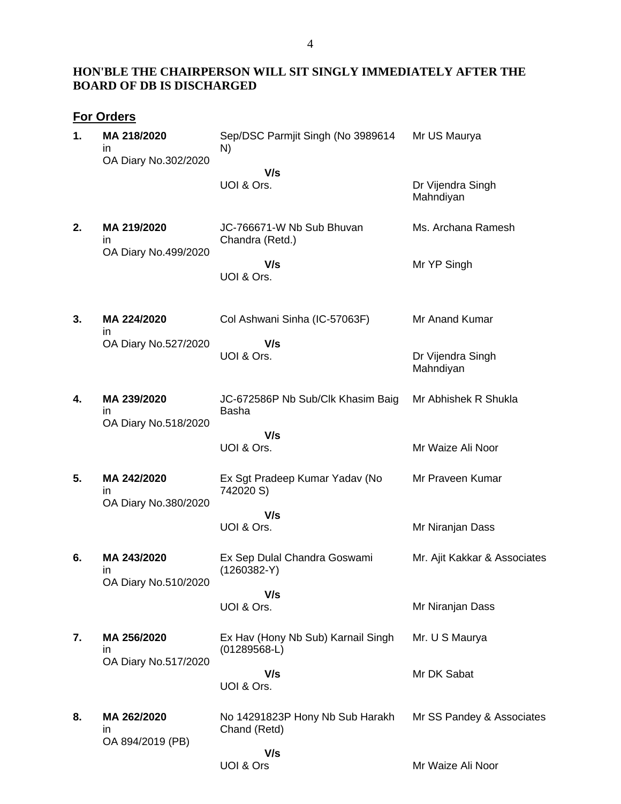### **HON'BLE THE CHAIRPERSON WILL SIT SINGLY IMMEDIATELY AFTER THE BOARD OF DB IS DISCHARGED**

### **For Orders**

| 1. | MA 218/2020<br>ın<br>OA Diary No.302/2020           | Sep/DSC Parmjit Singh (No 3989614<br>N)              | Mr US Maurya                   |
|----|-----------------------------------------------------|------------------------------------------------------|--------------------------------|
|    |                                                     | V/s<br>UOI & Ors.                                    | Dr Vijendra Singh<br>Mahndiyan |
| 2. | MA 219/2020<br>$\mathsf{I}$<br>OA Diary No.499/2020 | JC-766671-W Nb Sub Bhuvan<br>Chandra (Retd.)         | Ms. Archana Ramesh             |
|    |                                                     | V/s<br>UOI & Ors.                                    | Mr YP Singh                    |
| 3. | MA 224/2020<br>in.                                  | Col Ashwani Sinha (IC-57063F)                        | Mr Anand Kumar                 |
|    | OA Diary No.527/2020                                | V/s<br>UOI & Ors.                                    | Dr Vijendra Singh<br>Mahndiyan |
| 4. | MA 239/2020<br>in.<br>OA Diary No.518/2020          | JC-672586P Nb Sub/Clk Khasim Baig<br><b>Basha</b>    | Mr Abhishek R Shukla           |
|    |                                                     | V/s<br>UOI & Ors.                                    | Mr Waize Ali Noor              |
| 5. | MA 242/2020<br>in.<br>OA Diary No.380/2020          | Ex Sgt Pradeep Kumar Yadav (No<br>742020 S)          | Mr Praveen Kumar               |
|    |                                                     | V/s<br>UOI & Ors.                                    | Mr Niranjan Dass               |
| 6. | MA 243/2020<br>ın                                   | Ex Sep Dulal Chandra Goswami<br>$(1260382-Y)$        | Mr. Ajit Kakkar & Associates   |
|    | OA Diary No.510/2020                                | V/s<br>UOI & Ors.                                    | Mr Niranjan Dass               |
| 7. | MA 256/2020<br>in.                                  | Ex Hav (Hony Nb Sub) Karnail Singh<br>$(01289568-L)$ | Mr. U S Maurya                 |
|    | OA Diary No.517/2020                                | V/s<br>UOI & Ors.                                    | Mr DK Sabat                    |
| 8. | MA 262/2020<br>in.                                  | No 14291823P Hony Nb Sub Harakh<br>Chand (Retd)      | Mr SS Pandey & Associates      |
|    | OA 894/2019 (PB)                                    | V/s<br>UOI & Ors                                     | Mr Waize Ali Noor              |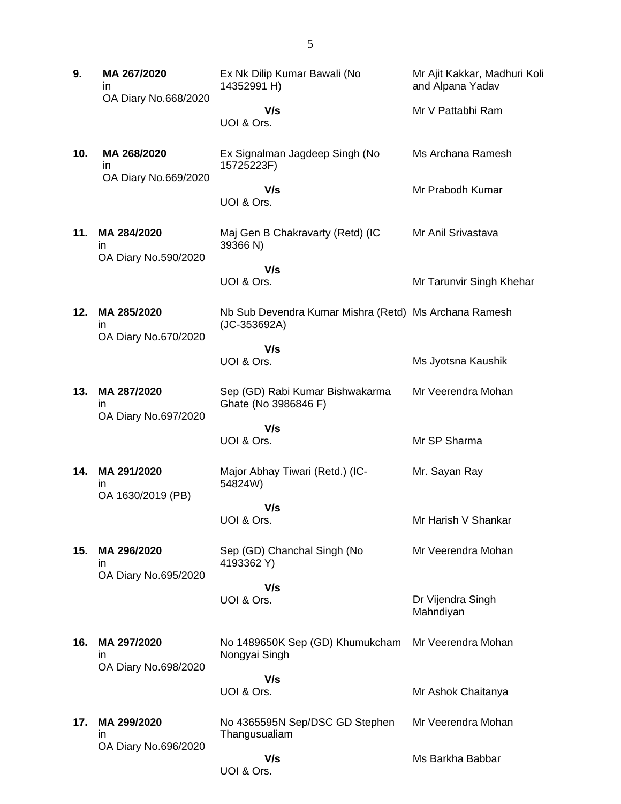| 9.  | MA 267/2020<br>in<br>OA Diary No.668/2020 | Ex Nk Dilip Kumar Bawali (No<br>14352991 H)                             | Mr Ajit Kakkar, Madhuri Koli<br>and Alpana Yadav |
|-----|-------------------------------------------|-------------------------------------------------------------------------|--------------------------------------------------|
|     |                                           | V/s<br>UOI & Ors.                                                       | Mr V Pattabhi Ram                                |
| 10. | MA 268/2020<br>in<br>OA Diary No.669/2020 | Ex Signalman Jagdeep Singh (No<br>15725223F)                            | Ms Archana Ramesh                                |
|     |                                           | V/s<br>UOI & Ors.                                                       | Mr Prabodh Kumar                                 |
| 11. | MA 284/2020<br>ın<br>OA Diary No.590/2020 | Maj Gen B Chakravarty (Retd) (IC<br>39366 N)                            | Mr Anil Srivastava                               |
|     |                                           | V/s<br>UOI & Ors.                                                       | Mr Tarunvir Singh Khehar                         |
| 12. | MA 285/2020<br>in<br>OA Diary No.670/2020 | Nb Sub Devendra Kumar Mishra (Retd) Ms Archana Ramesh<br>$(JC-353692A)$ |                                                  |
|     |                                           | V/s<br>UOI & Ors.                                                       | Ms Jyotsna Kaushik                               |
| 13. | MA 287/2020<br>ın<br>OA Diary No.697/2020 | Sep (GD) Rabi Kumar Bishwakarma<br>Ghate (No 3986846 F)                 | Mr Veerendra Mohan                               |
|     |                                           | V/s<br>UOI & Ors.                                                       | Mr SP Sharma                                     |
| 14. | MA 291/2020<br>in<br>OA 1630/2019 (PB)    | Major Abhay Tiwari (Retd.) (IC-<br>54824W)                              | Mr. Sayan Ray                                    |
|     |                                           | V/s<br>UOI & Ors.                                                       | Mr Harish V Shankar                              |
| 15. | MA 296/2020<br>in<br>OA Diary No.695/2020 | Sep (GD) Chanchal Singh (No<br>4193362 Y)                               | Mr Veerendra Mohan                               |
|     |                                           | V/s<br>UOI & Ors.                                                       | Dr Vijendra Singh<br>Mahndiyan                   |
| 16. | MA 297/2020<br>ın<br>OA Diary No.698/2020 | No 1489650K Sep (GD) Khumukcham<br>Nongyai Singh                        | Mr Veerendra Mohan                               |
|     |                                           | V/s<br>UOI & Ors.                                                       | Mr Ashok Chaitanya                               |
| 17. | MA 299/2020<br>ın<br>OA Diary No.696/2020 | No 4365595N Sep/DSC GD Stephen<br>Thangusualiam                         | Mr Veerendra Mohan                               |
|     |                                           | V/s<br>UOI & Ors.                                                       | Ms Barkha Babbar                                 |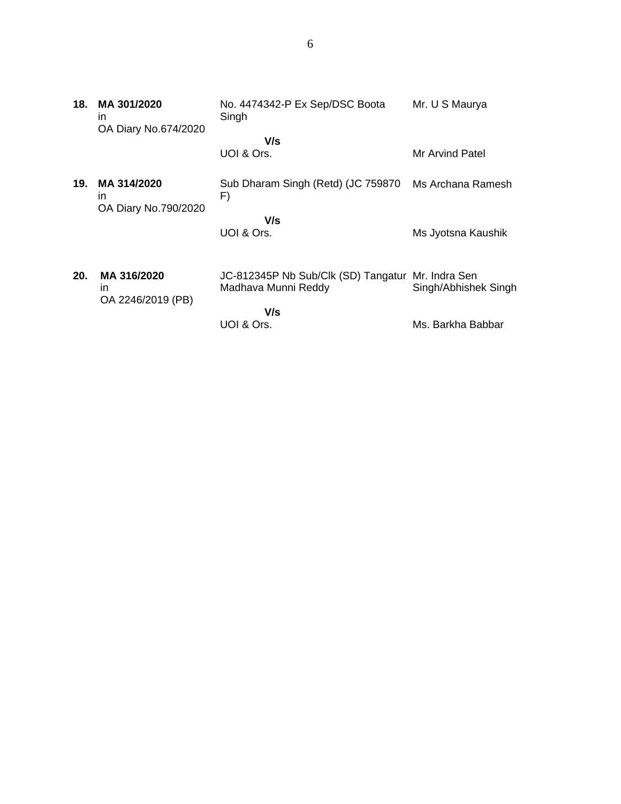| 18. | MA 301/2020<br>in.<br>OA Diary No.674/2020 | No. 4474342-P Ex Sep/DSC Boota<br>Singh           | Mr. U S Maurya       |
|-----|--------------------------------------------|---------------------------------------------------|----------------------|
|     |                                            | V/s                                               |                      |
|     |                                            | UOI & Ors.                                        | Mr Arvind Patel      |
| 19. | MA 314/2020<br>in.<br>OA Diary No.790/2020 | Sub Dharam Singh (Retd) (JC 759870<br>F)          | Ms Archana Ramesh    |
|     |                                            | V/s                                               |                      |
|     |                                            | UOI & Ors.                                        | Ms Jyotsna Kaushik   |
| 20. | MA 316/2020                                | JC-812345P Nb Sub/Clk (SD) Tangatur Mr. Indra Sen |                      |
|     | ın                                         | Madhava Munni Reddy                               | Singh/Abhishek Singh |
|     | OA 2246/2019 (PB)                          |                                                   |                      |
|     |                                            | V/s                                               |                      |
|     |                                            | UOI & Ors.                                        | Ms. Barkha Babbar    |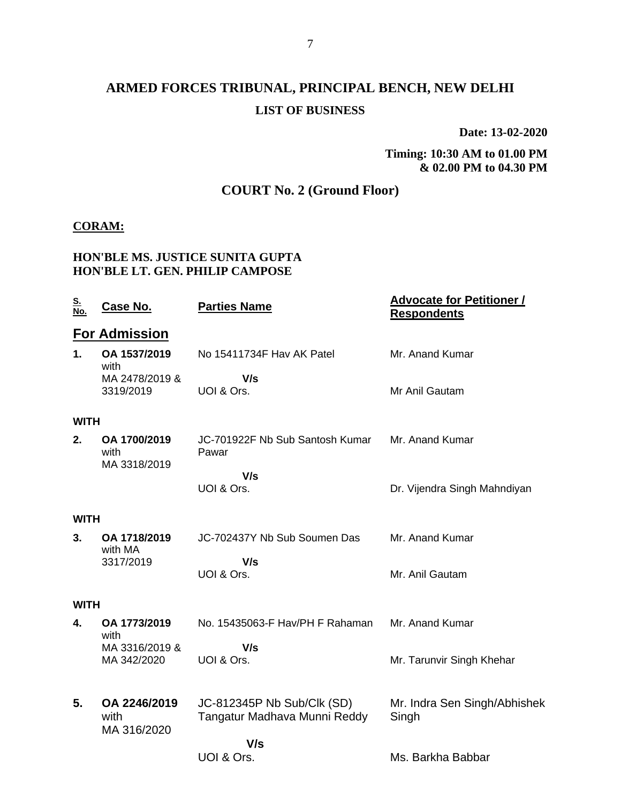# **ARMED FORCES TRIBUNAL, PRINCIPAL BENCH, NEW DELHI LIST OF BUSINESS**

**Date: 13-02-2020**

**Timing: 10:30 AM to 01.00 PM & 02.00 PM to 04.30 PM**

# **COURT No. 2 (Ground Floor)**

#### **CORAM:**

### **HON'BLE MS. JUSTICE SUNITA GUPTA HON'BLE LT. GEN. PHILIP CAMPOSE**

| <u>S.</u><br>No. | Case No.                             | <b>Parties Name</b>                                        | <u><b>Advocate for Petitioner /</b></u><br><b>Respondents</b> |
|------------------|--------------------------------------|------------------------------------------------------------|---------------------------------------------------------------|
|                  | <b>For Admission</b>                 |                                                            |                                                               |
| 1.               | OA 1537/2019<br>with                 | No 15411734F Hav AK Patel                                  | Mr. Anand Kumar                                               |
|                  | MA 2478/2019 &<br>3319/2019          | V/s<br>UOI & Ors.                                          | Mr Anil Gautam                                                |
| <b>WITH</b>      |                                      |                                                            |                                                               |
| 2.               | OA 1700/2019<br>with<br>MA 3318/2019 | JC-701922F Nb Sub Santosh Kumar<br>Pawar                   | Mr. Anand Kumar                                               |
|                  |                                      | V/s<br>UOI & Ors.                                          | Dr. Vijendra Singh Mahndiyan                                  |
| <b>WITH</b>      |                                      |                                                            |                                                               |
| 3.               | OA 1718/2019<br>with MA              | JC-702437Y Nb Sub Soumen Das                               | Mr. Anand Kumar                                               |
|                  | 3317/2019                            | V/s<br>UOI & Ors.                                          | Mr. Anil Gautam                                               |
| <b>WITH</b>      |                                      |                                                            |                                                               |
| 4.               | OA 1773/2019<br>with                 | No. 15435063-F Hav/PH F Rahaman                            | Mr. Anand Kumar                                               |
|                  | MA 3316/2019 &<br>MA 342/2020        | V/s<br>UOI & Ors.                                          | Mr. Tarunvir Singh Khehar                                     |
| 5.               | OA 2246/2019<br>with<br>MA 316/2020  | JC-812345P Nb Sub/Clk (SD)<br>Tangatur Madhava Munni Reddy | Mr. Indra Sen Singh/Abhishek<br>Singh                         |
|                  |                                      | V/s                                                        |                                                               |
|                  |                                      | UOI & Ors.                                                 | Ms. Barkha Babbar                                             |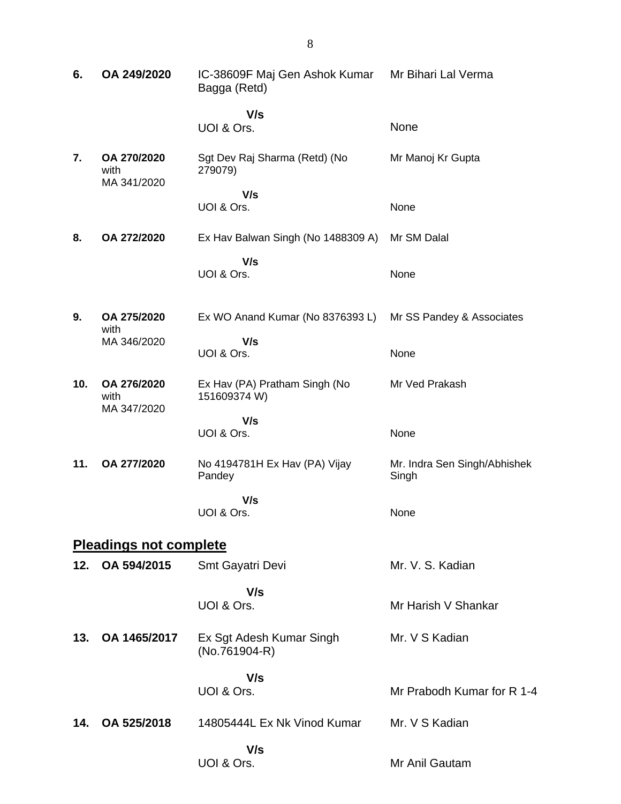| 6.  | OA 249/2020                        | IC-38609F Maj Gen Ashok Kumar Mr Bihari Lal Verma<br>Bagga (Retd) |                                       |
|-----|------------------------------------|-------------------------------------------------------------------|---------------------------------------|
|     |                                    | V/s                                                               |                                       |
|     |                                    | UOI & Ors.                                                        | None                                  |
| 7.  | OA 270/2020<br>with<br>MA 341/2020 | Sgt Dev Raj Sharma (Retd) (No<br>279079)                          | Mr Manoj Kr Gupta                     |
|     |                                    | V/s<br>UOI & Ors.                                                 | None                                  |
| 8.  | OA 272/2020                        | Ex Hav Balwan Singh (No 1488309 A)                                | Mr SM Dalal                           |
|     |                                    | V/s                                                               |                                       |
|     |                                    | UOI & Ors.                                                        | None                                  |
| 9.  | OA 275/2020<br>with                | Ex WO Anand Kumar (No 8376393 L)                                  | Mr SS Pandey & Associates             |
|     | MA 346/2020                        | V/s<br>UOI & Ors.                                                 | None                                  |
| 10. | OA 276/2020<br>with<br>MA 347/2020 | Ex Hav (PA) Pratham Singh (No<br>151609374 W)                     | Mr Ved Prakash                        |
|     |                                    | V/s<br>UOI & Ors.                                                 | None                                  |
| 11. | OA 277/2020                        | No 4194781H Ex Hav (PA) Vijay<br>Pandey                           | Mr. Indra Sen Singh/Abhishek<br>Singh |
|     |                                    | V/s                                                               |                                       |
|     |                                    | UOI & Ors.                                                        | None                                  |
|     | <b>Pleadings not complete</b>      |                                                                   |                                       |
|     | 12. OA 594/2015                    | Smt Gayatri Devi                                                  | Mr. V. S. Kadian                      |
|     |                                    | V/s                                                               |                                       |
|     |                                    | UOI & Ors.                                                        | Mr Harish V Shankar                   |
| 13. | OA 1465/2017                       | Ex Sgt Adesh Kumar Singh<br>(No.761904-R)                         | Mr. V S Kadian                        |
|     |                                    | V/s                                                               |                                       |
|     |                                    | UOI & Ors.                                                        | Mr Prabodh Kumar for R 1-4            |
| 14. | OA 525/2018                        | 14805444L Ex Nk Vinod Kumar                                       | Mr. V S Kadian                        |
|     |                                    | V/s<br>UOI & Ors.                                                 | Mr Anil Gautam                        |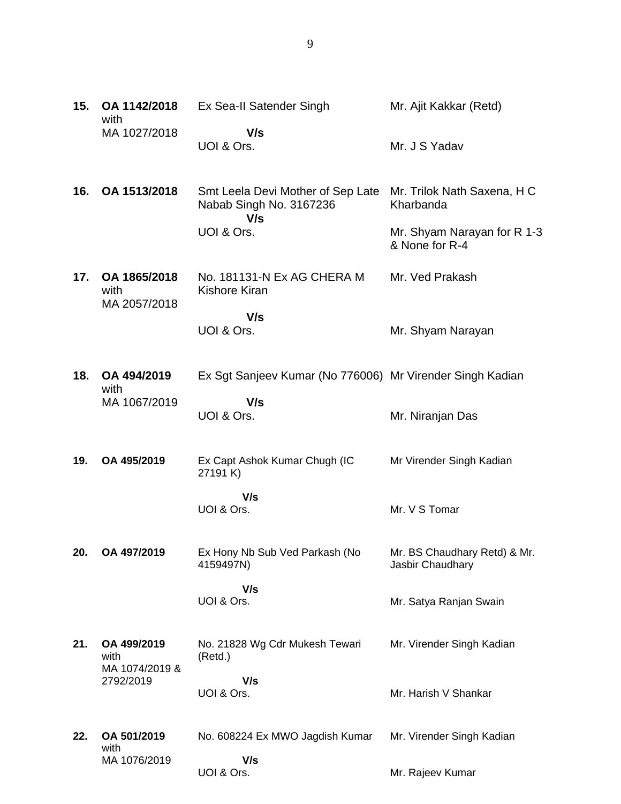| 15. | OA 1142/2018<br>with                  | Ex Sea-II Satender Singh                                            | Mr. Ajit Kakkar (Retd)                           |
|-----|---------------------------------------|---------------------------------------------------------------------|--------------------------------------------------|
|     | MA 1027/2018                          | V/s<br>UOI & Ors.                                                   | Mr. J S Yadav                                    |
| 16. | OA 1513/2018                          | Smt Leela Devi Mother of Sep Late<br>Nabab Singh No. 3167236<br>V/s | Mr. Trilok Nath Saxena, H C<br>Kharbanda         |
|     |                                       | UOI & Ors.                                                          | Mr. Shyam Narayan for R 1-3<br>& None for R-4    |
| 17. | OA 1865/2018<br>with<br>MA 2057/2018  | No. 181131-N Ex AG CHERA M<br><b>Kishore Kiran</b>                  | Mr. Ved Prakash                                  |
|     |                                       | V/s<br>UOI & Ors.                                                   | Mr. Shyam Narayan                                |
| 18. | OA 494/2019<br>with                   | Ex Sgt Sanjeev Kumar (No 776006) Mr Virender Singh Kadian           |                                                  |
|     | MA 1067/2019                          | V/s<br>UOI & Ors.                                                   | Mr. Niranjan Das                                 |
| 19. | OA 495/2019                           | Ex Capt Ashok Kumar Chugh (IC<br>27191 K)                           | Mr Virender Singh Kadian                         |
|     |                                       | V/s<br>UOI & Ors.                                                   | Mr. V S Tomar                                    |
| 20. | OA 497/2019                           | Ex Hony Nb Sub Ved Parkash (No<br>4159497N)                         | Mr. BS Chaudhary Retd) & Mr.<br>Jasbir Chaudhary |
|     |                                       | V/s<br>UOI & Ors.                                                   | Mr. Satya Ranjan Swain                           |
| 21. | OA 499/2019<br>with<br>MA 1074/2019 & | No. 21828 Wg Cdr Mukesh Tewari<br>(Retd.)                           | Mr. Virender Singh Kadian                        |
|     | 2792/2019                             | V/s<br>UOI & Ors.                                                   | Mr. Harish V Shankar                             |
| 22. | OA 501/2019<br>with                   | No. 608224 Ex MWO Jagdish Kumar                                     | Mr. Virender Singh Kadian                        |

Mr. Rajeev Kumar

MA 1076/2019

 **V/s** UOI & Ors.

9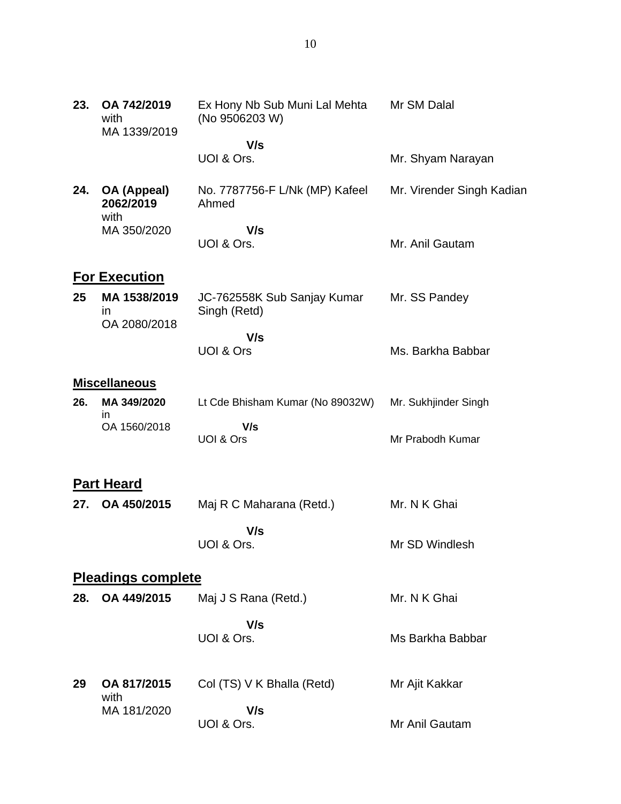| 23. | OA 742/2019<br>with<br>MA 1339/2019 | Ex Hony Nb Sub Muni Lal Mehta<br>(No 9506203 W) | Mr SM Dalal               |
|-----|-------------------------------------|-------------------------------------------------|---------------------------|
|     |                                     | V/s                                             |                           |
|     |                                     | UOI & Ors.                                      | Mr. Shyam Narayan         |
| 24. | OA (Appeal)<br>2062/2019<br>with    | No. 7787756-F L/Nk (MP) Kafeel<br>Ahmed         | Mr. Virender Singh Kadian |
|     | MA 350/2020                         | V/s<br>UOI & Ors.                               | Mr. Anil Gautam           |
|     | <b>For Execution</b>                |                                                 |                           |
| 25  | MA 1538/2019<br>in.<br>OA 2080/2018 | JC-762558K Sub Sanjay Kumar<br>Singh (Retd)     | Mr. SS Pandey             |
|     |                                     | V/s<br>UOI & Ors                                | Ms. Barkha Babbar         |
|     | <b>Miscellaneous</b>                |                                                 |                           |
| 26. | MA 349/2020<br>in.                  | Lt Cde Bhisham Kumar (No 89032W)                | Mr. Sukhjinder Singh      |
|     | OA 1560/2018                        | V/s<br>UOI & Ors                                | Mr Prabodh Kumar          |
|     | <b>Part Heard</b>                   |                                                 |                           |
| 27. | OA 450/2015                         | Maj R C Maharana (Retd.)                        | Mr. N K Ghai              |
|     |                                     | V/s<br>UOI & Ors.                               | Mr SD Windlesh            |
|     | <b>Pleadings complete</b>           |                                                 |                           |
| 28. | OA 449/2015                         | Maj J S Rana (Retd.)                            | Mr. N K Ghai              |
|     |                                     | V/s<br>UOI & Ors.                               | Ms Barkha Babbar          |
| 29  | OA 817/2015<br>with                 | Col (TS) V K Bhalla (Retd)                      | Mr Ajit Kakkar            |
|     | MA 181/2020                         | V/s<br>UOI & Ors.                               | Mr Anil Gautam            |
|     |                                     |                                                 |                           |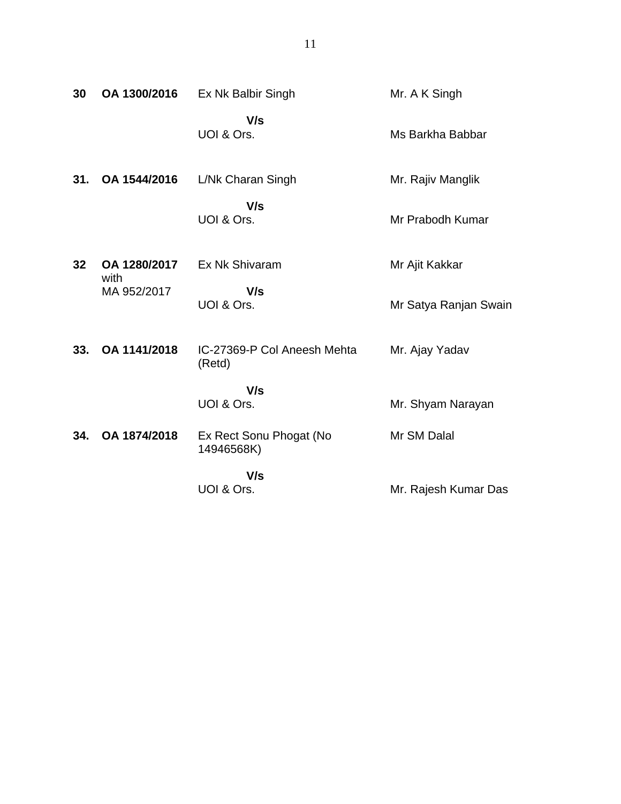| 30  | OA 1300/2016         | Ex Nk Balbir Singh                    | Mr. A K Singh         |
|-----|----------------------|---------------------------------------|-----------------------|
|     |                      | V/s<br>UOI & Ors.                     | Ms Barkha Babbar      |
| 31. | OA 1544/2016         | L/Nk Charan Singh                     | Mr. Rajiv Manglik     |
|     |                      | V/s<br>UOI & Ors.                     | Mr Prabodh Kumar      |
| 32  | OA 1280/2017<br>with | Ex Nk Shivaram                        | Mr Ajit Kakkar        |
|     | MA 952/2017          | V/s<br>UOI & Ors.                     | Mr Satya Ranjan Swain |
| 33. | OA 1141/2018         | IC-27369-P Col Aneesh Mehta<br>(Retd) | Mr. Ajay Yadav        |
|     |                      | V/s<br>UOI & Ors.                     | Mr. Shyam Narayan     |
| 34. | OA 1874/2018         | Ex Rect Sonu Phogat (No<br>14946568K) | Mr SM Dalal           |
|     |                      | V/s<br>UOI & Ors.                     | Mr. Rajesh Kumar Das  |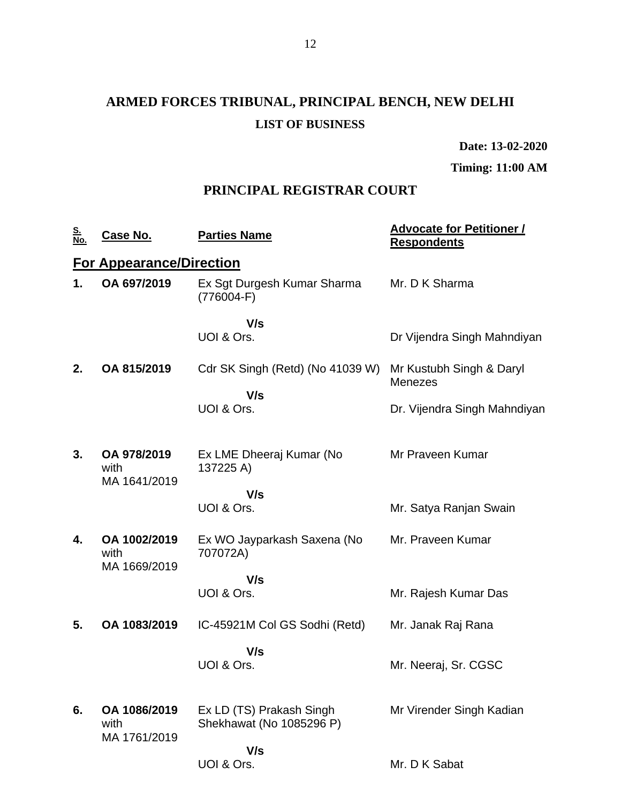# **ARMED FORCES TRIBUNAL, PRINCIPAL BENCH, NEW DELHI LIST OF BUSINESS**

**Date: 13-02-2020**

**Timing: 11:00 AM**

# **PRINCIPAL REGISTRAR COURT**

| <u>S.</u><br>No. | <u>Case No.</u>                      | <b>Parties Name</b>                                  | <b>Advocate for Petitioner /</b><br><b>Respondents</b> |
|------------------|--------------------------------------|------------------------------------------------------|--------------------------------------------------------|
|                  | <b>For Appearance/Direction</b>      |                                                      |                                                        |
| 1.               | OA 697/2019                          | Ex Sgt Durgesh Kumar Sharma<br>$(776004-F)$          | Mr. D K Sharma                                         |
|                  |                                      | V/s                                                  |                                                        |
|                  |                                      | UOI & Ors.                                           | Dr Vijendra Singh Mahndiyan                            |
| 2.               | OA 815/2019                          | Cdr SK Singh (Retd) (No 41039 W)                     | Mr Kustubh Singh & Daryl<br><b>Menezes</b>             |
|                  |                                      | V/s<br>UOI & Ors.                                    | Dr. Vijendra Singh Mahndiyan                           |
| 3.               | OA 978/2019<br>with<br>MA 1641/2019  | Ex LME Dheeraj Kumar (No<br>137225 A)                | Mr Praveen Kumar                                       |
|                  |                                      | V/s                                                  |                                                        |
|                  |                                      | UOI & Ors.                                           | Mr. Satya Ranjan Swain                                 |
| 4.               | OA 1002/2019<br>with                 | Ex WO Jayparkash Saxena (No<br>707072A)              | Mr. Praveen Kumar                                      |
|                  | MA 1669/2019                         | V/s                                                  |                                                        |
|                  |                                      | UOI & Ors.                                           | Mr. Rajesh Kumar Das                                   |
| 5.               | OA 1083/2019                         | IC-45921M Col GS Sodhi (Retd)                        | Mr. Janak Raj Rana                                     |
|                  |                                      | V/s<br>UOI & Ors.                                    | Mr. Neeraj, Sr. CGSC                                   |
| 6.               | OA 1086/2019<br>with<br>MA 1761/2019 | Ex LD (TS) Prakash Singh<br>Shekhawat (No 1085296 P) | Mr Virender Singh Kadian                               |
|                  |                                      | V/s<br>UOI & Ors.                                    | Mr. D K Sabat                                          |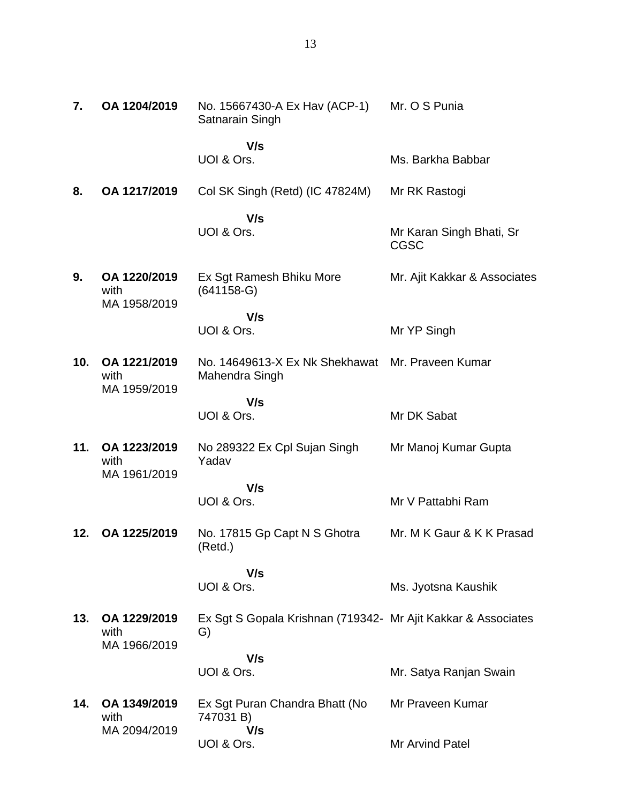| 7.  | OA 1204/2019                         | No. 15667430-A Ex Hav (ACP-1)<br>Satnarain Singh                    | Mr. O S Punia                           |
|-----|--------------------------------------|---------------------------------------------------------------------|-----------------------------------------|
|     |                                      | V/s                                                                 |                                         |
|     |                                      | UOI & Ors.                                                          | Ms. Barkha Babbar                       |
| 8.  | OA 1217/2019                         | Col SK Singh (Retd) (IC 47824M)                                     | Mr RK Rastogi                           |
|     |                                      | V/s<br>UOI & Ors.                                                   | Mr Karan Singh Bhati, Sr<br><b>CGSC</b> |
| 9.  | OA 1220/2019<br>with<br>MA 1958/2019 | Ex Sgt Ramesh Bhiku More<br>$(641158-G)$                            | Mr. Ajit Kakkar & Associates            |
|     |                                      | V/s<br>UOI & Ors.                                                   | Mr YP Singh                             |
| 10. | OA 1221/2019<br>with<br>MA 1959/2019 | No. 14649613-X Ex Nk Shekhawat Mr. Praveen Kumar<br>Mahendra Singh  |                                         |
|     |                                      | V/s<br>UOI & Ors.                                                   | Mr DK Sabat                             |
| 11. | OA 1223/2019<br>with<br>MA 1961/2019 | No 289322 Ex Cpl Sujan Singh<br>Yadav                               | Mr Manoj Kumar Gupta                    |
|     |                                      | V/s<br>UOI & Ors.                                                   | Mr V Pattabhi Ram                       |
| 12. | OA 1225/2019                         | No. 17815 Gp Capt N S Ghotra<br>(Retd.)                             | Mr. M K Gaur & K K Prasad               |
|     |                                      | V/s<br>UOI & Ors.                                                   | Ms. Jyotsna Kaushik                     |
| 13. | OA 1229/2019<br>with<br>MA 1966/2019 | Ex Sgt S Gopala Krishnan (719342- Mr Ajit Kakkar & Associates<br>G) |                                         |
|     |                                      | V/s<br>UOI & Ors.                                                   | Mr. Satya Ranjan Swain                  |
| 14. | OA 1349/2019<br>with<br>MA 2094/2019 | Ex Sgt Puran Chandra Bhatt (No<br>747031 B)<br>V/s                  | Mr Praveen Kumar                        |
|     |                                      | UOI & Ors.                                                          | Mr Arvind Patel                         |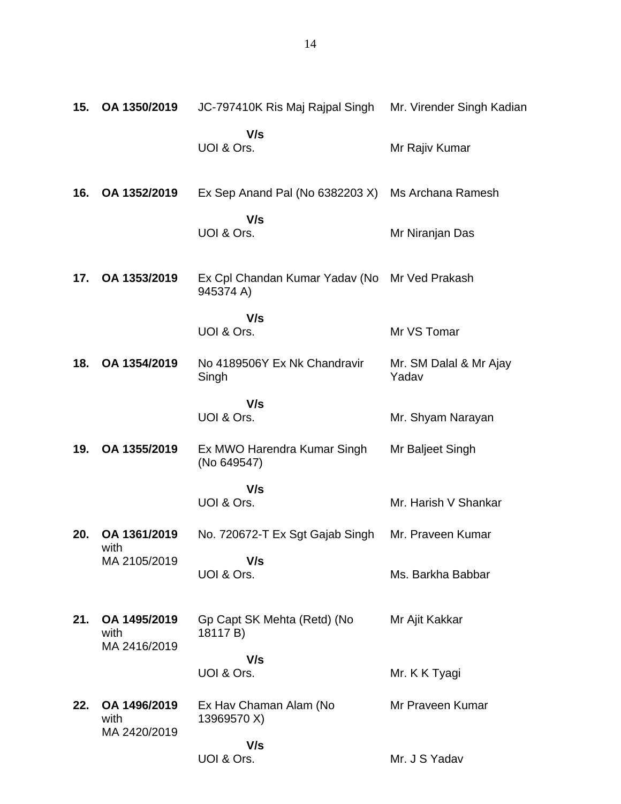| 15. | OA 1350/2019         | JC-797410K Ris Maj Rajpal Singh                            | Mr. Virender Singh Kadian       |
|-----|----------------------|------------------------------------------------------------|---------------------------------|
|     |                      | V/s<br>UOI & Ors.                                          | Mr Rajiv Kumar                  |
| 16. | OA 1352/2019         | Ex Sep Anand Pal (No 6382203 X)                            | Ms Archana Ramesh               |
|     |                      | V/s<br>UOI & Ors.                                          | Mr Niranjan Das                 |
| 17. | OA 1353/2019         | Ex Cpl Chandan Kumar Yadav (No Mr Ved Prakash<br>945374 A) |                                 |
|     |                      | V/s<br>UOI & Ors.                                          | Mr VS Tomar                     |
| 18. | OA 1354/2019         | No 4189506Y Ex Nk Chandravir<br>Singh                      | Mr. SM Dalal & Mr Ajay<br>Yadav |
|     |                      | V/s<br>UOI & Ors.                                          | Mr. Shyam Narayan               |
| 19. | OA 1355/2019         | Ex MWO Harendra Kumar Singh<br>(No 649547)                 | Mr Baljeet Singh                |
|     |                      | V/s<br>UOI & Ors.                                          | Mr. Harish V Shankar            |
| 20. | OA 1361/2019<br>with | No. 720672-T Ex Sgt Gajab Singh                            | Mr. Praveen Kumar               |
|     | MA 2105/2019         | V/s<br>UOI & Ors.                                          | Ms. Barkha Babbar               |
| 21. | OA 1495/2019<br>with | Gp Capt SK Mehta (Retd) (No<br>18117 B)                    | Mr Ajit Kakkar                  |
|     | MA 2416/2019         | V/s<br>UOI & Ors.                                          | Mr. K K Tyagi                   |
| 22. | OA 1496/2019<br>with | Ex Hav Chaman Alam (No<br>13969570 X)                      | Mr Praveen Kumar                |
|     | MA 2420/2019         | V/s<br>UOI & Ors.                                          | Mr. J S Yadav                   |

UOI & Ors.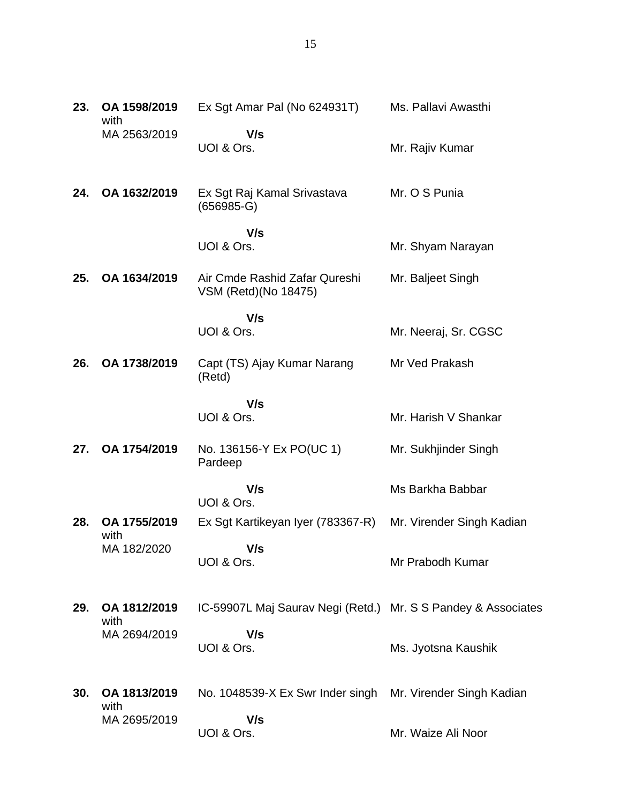| 23. | OA 1598/2019<br>with | Ex Sgt Amar Pal (No 624931T)                                  | Ms. Pallavi Awasthi       |
|-----|----------------------|---------------------------------------------------------------|---------------------------|
|     | MA 2563/2019         | V/s<br>UOI & Ors.                                             | Mr. Rajiv Kumar           |
| 24. | OA 1632/2019         | Ex Sgt Raj Kamal Srivastava<br>$(656985-G)$                   | Mr. O S Punia             |
|     |                      | V/s<br>UOI & Ors.                                             | Mr. Shyam Narayan         |
| 25. | OA 1634/2019         | Air Cmde Rashid Zafar Qureshi<br>VSM (Retd)(No 18475)         | Mr. Baljeet Singh         |
|     |                      | V/s<br>UOI & Ors.                                             | Mr. Neeraj, Sr. CGSC      |
| 26. | OA 1738/2019         | Capt (TS) Ajay Kumar Narang<br>(Retd)                         | Mr Ved Prakash            |
|     |                      | V/s<br>UOI & Ors.                                             | Mr. Harish V Shankar      |
| 27. | OA 1754/2019         | No. 136156-Y Ex PO(UC 1)<br>Pardeep                           | Mr. Sukhjinder Singh      |
|     |                      | V/s<br>UOI & Ors.                                             | Ms Barkha Babbar          |
| 28. | OA 1755/2019<br>with | Ex Sgt Kartikeyan Iyer (783367-R)                             | Mr. Virender Singh Kadian |
|     | MA 182/2020          | V/s<br>UOI & Ors.                                             | Mr Prabodh Kumar          |
| 29. | OA 1812/2019<br>with | IC-59907L Maj Saurav Negi (Retd.) Mr. S S Pandey & Associates |                           |
|     | MA 2694/2019         | V/s<br>UOI & Ors.                                             | Ms. Jyotsna Kaushik       |
| 30. | OA 1813/2019<br>with | No. 1048539-X Ex Swr Inder singh Mr. Virender Singh Kadian    |                           |
|     | MA 2695/2019         | V/s<br>UOI & Ors.                                             | Mr. Waize Ali Noor        |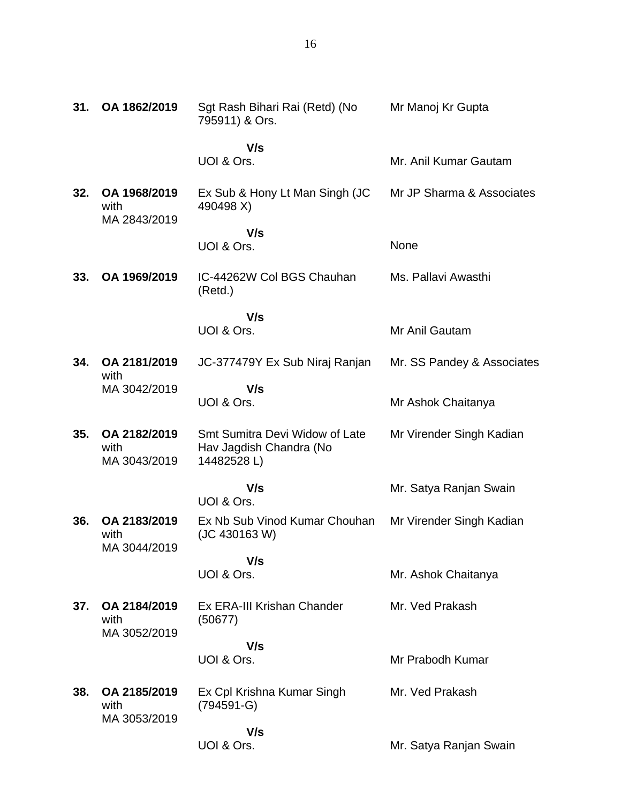| 31. | OA 1862/2019                         | Sgt Rash Bihari Rai (Retd) (No<br>795911) & Ors.                        | Mr Manoj Kr Gupta          |
|-----|--------------------------------------|-------------------------------------------------------------------------|----------------------------|
|     |                                      | V/s<br>UOI & Ors.                                                       | Mr. Anil Kumar Gautam      |
| 32. | OA 1968/2019<br>with                 | Ex Sub & Hony Lt Man Singh (JC<br>490498 X)                             | Mr JP Sharma & Associates  |
|     | MA 2843/2019                         | V/s<br>UOI & Ors.                                                       | None                       |
| 33. | OA 1969/2019                         | IC-44262W Col BGS Chauhan<br>(Retd.)                                    | Ms. Pallavi Awasthi        |
|     |                                      | V/s<br>UOI & Ors.                                                       | Mr Anil Gautam             |
| 34. | OA 2181/2019<br>with                 | JC-377479Y Ex Sub Niraj Ranjan                                          | Mr. SS Pandey & Associates |
|     | MA 3042/2019                         | V/s<br>UOI & Ors.                                                       | Mr Ashok Chaitanya         |
| 35. | OA 2182/2019<br>with<br>MA 3043/2019 | Smt Sumitra Devi Widow of Late<br>Hav Jagdish Chandra (No<br>14482528L) | Mr Virender Singh Kadian   |
|     |                                      | V/s<br>UOI & Ors.                                                       | Mr. Satya Ranjan Swain     |
| 36. | OA 2183/2019<br>with<br>MA 3044/2019 | Ex Nb Sub Vinod Kumar Chouhan<br>(JC 430163 W)                          | Mr Virender Singh Kadian   |
|     |                                      | V/s<br>UOI & Ors.                                                       | Mr. Ashok Chaitanya        |
| 37. | OA 2184/2019<br>with<br>MA 3052/2019 | Ex ERA-III Krishan Chander<br>(50677)                                   | Mr. Ved Prakash            |
|     |                                      | V/s<br>UOI & Ors.                                                       | Mr Prabodh Kumar           |
| 38. | OA 2185/2019<br>with<br>MA 3053/2019 | Ex Cpl Krishna Kumar Singh<br>$(794591 - G)$                            | Mr. Ved Prakash            |
|     |                                      | V/s<br>UOI & Ors.                                                       | Mr. Satya Ranjan Swain     |